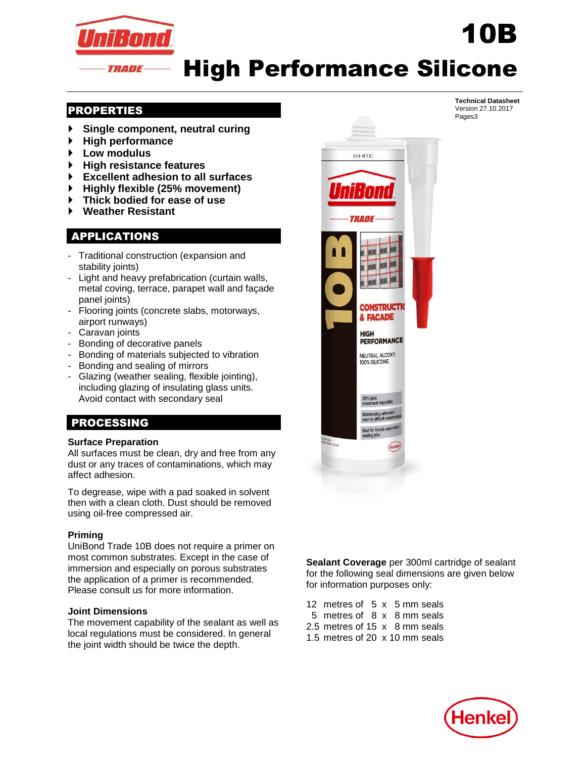

# High Performance Silicone

## PROPERTIES

- **Single component, neutral curing**
- **High performance**
- **Low modulus**
- **High resistance features**
- **Excellent adhesion to all surfaces**
- **Highly flexible (25% movement)**
- **Thick bodied for ease of use**
- **Weather Resistant**

## APPLICATIONS

- Traditional construction (expansion and stability joints)
- Light and heavy prefabrication (curtain walls, metal coving, terrace, parapet wall and façade panel joints)
- Flooring joints (concrete slabs, motorways, airport runways)
- Caravan joints
- Bonding of decorative panels
- Bonding of materials subjected to vibration
- Bonding and sealing of mirrors
- Glazing (weather sealing, flexible jointing), including glazing of insulating glass units. Avoid contact with secondary seal

## PROCESSING

#### **Surface Preparation**

All surfaces must be clean, dry and free from any dust or any traces of contaminations, which may affect adhesion.

To degrease, wipe with a pad soaked in solvent then with a clean cloth. Dust should be removed using oil-free compressed air.

#### **Priming**

UniBond Trade 10B does not require a primer on most common substrates. Except in the case of immersion and especially on porous substrates the application of a primer is recommended. Please consult us for more information.

#### **Joint Dimensions**

The movement capability of the sealant as well as local regulations must be considered. In general the joint width should be twice the depth.



**Technical Datasheet** Version 27.10.2017 Pages3

10B

**Sealant Coverage** per 300ml cartridge of sealant for the following seal dimensions are given below for information purposes only:

| 12 metres of 5 x 5 mm seals    |  |  |  |
|--------------------------------|--|--|--|
| 5 metres of 8 x 8 mm seals     |  |  |  |
| 2.5 metres of 15 x 8 mm seals  |  |  |  |
| 1.5 metres of 20 x 10 mm seals |  |  |  |

Henke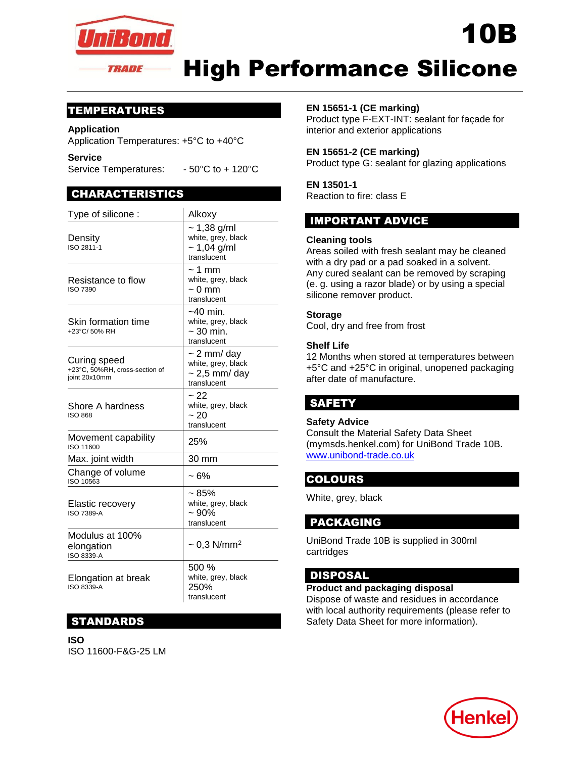

# High Performance Silicone

## TEMPERATURES

#### **Application**

Application Temperatures: +5°C to +40°C

**Service** 

Service Temperatures: - 50°C to + 120°C

## CHARACTERISTICS

| Type of silicone:                                               | Alkoxy                                                                      |  |  |  |
|-----------------------------------------------------------------|-----------------------------------------------------------------------------|--|--|--|
| Density<br>ISO 2811-1                                           | $~1,38$ g/ml<br>white, grey, black<br>$\sim$ 1,04 g/ml<br>translucent       |  |  |  |
| Resistance to flow<br><b>ISO 7390</b>                           | $\sim$ 1 mm<br>white, grey, black<br>~ 0 mm<br>translucent                  |  |  |  |
| Skin formation time<br>+23°C/50% RH                             | $~10$ min.<br>white, grey, black<br>$\sim$ 30 min.<br>translucent           |  |  |  |
| Curing speed<br>+23°C, 50%RH, cross-section of<br>ioint 20x10mm | $\sim$ 2 mm/ day<br>white, grey, black<br>$\sim$ 2,5 mm/ day<br>translucent |  |  |  |
| Shore A hardness<br><b>ISO 868</b>                              | ~22<br>white, grey, black<br>~20<br>translucent                             |  |  |  |
| Movement capability<br>ISO 11600                                | 25%                                                                         |  |  |  |
| Max. joint width                                                | 30 mm                                                                       |  |  |  |
| Change of volume<br>ISO 10563                                   | $~10^{\circ}$                                                               |  |  |  |
| Elastic recovery<br><b>ISO 7389-A</b>                           | ~1.85%<br>white, grey, black<br>~100%<br>translucent                        |  |  |  |
| Modulus at 100%<br>elongation<br>ISO 8339-A                     | $\sim$ 0.3 N/mm <sup>2</sup>                                                |  |  |  |
| Elongation at break<br>ISO 8339-A                               | 500 %<br>white, grey, black<br>250%<br>translucent                          |  |  |  |

## STANDARDS

**ISO**  ISO 11600-F&G-25 LM **EN 15651-1 (CE marking)**

Product type F-EXT-INT: sealant for façade for interior and exterior applications

10B

#### **EN 15651-2 (CE marking)**

Product type G: sealant for glazing applications

#### **EN 13501-1**

Reaction to fire: class E

## IMPORTANT ADVICE

#### **Cleaning tools**

Areas soiled with fresh sealant may be cleaned with a dry pad or a pad soaked in a solvent. Any cured sealant can be removed by scraping (e. g. using a razor blade) or by using a special silicone remover product.

#### **Storage**

Cool, dry and free from frost

#### **Shelf Life**

12 Months when stored at temperatures between +5°C and +25°C in original, unopened packaging after date of manufacture.

## SAFETY

#### **Safety Advice**

Consult the Material Safety Data Sheet (mymsds.henkel.com) for UniBond Trade 10B. [www.unibond-trade.co.uk](http://www.unibond-trade.co.uk/)

## COLOURS

White, grey, black

## PACKAGING

UniBond Trade 10B is supplied in 300ml cartridges

## DISPOSAL

#### **Product and packaging disposal**

Dispose of waste and residues in accordance with local authority requirements (please refer to Safety Data Sheet for more information).